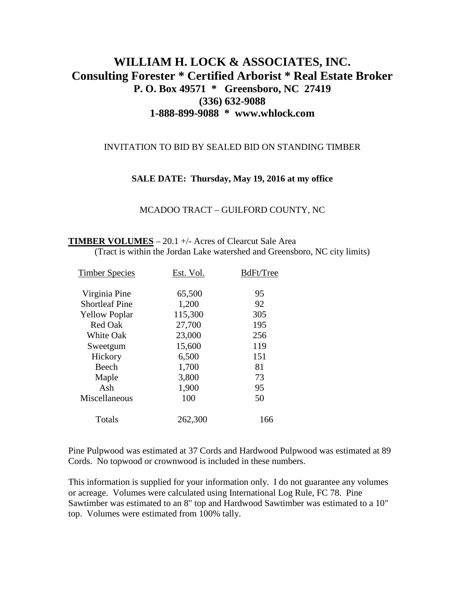# **WILLIAM H. LOCK & ASSOCIATES, INC. Consulting Forester \* Certified Arborist \* Real Estate Broker P. O. Box 49571 \* Greensboro, NC 27419 (336) 632-9088 1-888-899-9088 \* www.whlock.com**

#### INVITATION TO BID BY SEALED BID ON STANDING TIMBER

#### **SALE DATE: Thursday, May 19, 2016 at my office**

MCADOO TRACT – GUILFORD COUNTY, NC

#### **TIMBER VOLUMES** – 20.1 +/- Acres of Clearcut Sale Area (Tract is within the Jordan Lake watershed and Greensboro, NC city limits)

| <b>Timber Species</b> | Est. Vol. | BdFt/Tree |
|-----------------------|-----------|-----------|
| Virginia Pine         | 65,500    | 95        |
| <b>Shortleaf Pine</b> | 1,200     | 92        |
| <b>Yellow Poplar</b>  | 115,300   | 305       |
| <b>Red Oak</b>        | 27,700    | 195       |
| <b>White Oak</b>      | 23,000    | 256       |
| Sweetgum              | 15,600    | 119       |
| Hickory               | 6,500     | 151       |
| Beech                 | 1,700     | 81        |
| Maple                 | 3,800     | 73        |
| Ash                   | 1,900     | 95        |
| Miscellaneous         | 100       | 50        |
| Totals                | 262,300   | 166       |
|                       |           |           |

Pine Pulpwood was estimated at 37 Cords and Hardwood Pulpwood was estimated at 89 Cords. No topwood or crownwood is included in these numbers.

This information is supplied for your information only. I do not guarantee any volumes or acreage. Volumes were calculated using International Log Rule, FC 78. Pine Sawtimber was estimated to an 8" top and Hardwood Sawtimber was estimated to a 10" top. Volumes were estimated from 100% tally.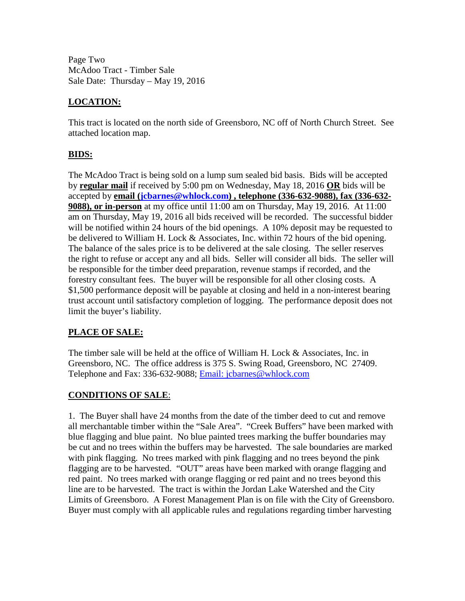Page Two McAdoo Tract - Timber Sale Sale Date: Thursday – May 19, 2016

# **LOCATION:**

This tract is located on the north side of Greensboro, NC off of North Church Street. See attached location map.

## **BIDS:**

The McAdoo Tract is being sold on a lump sum sealed bid basis. Bids will be accepted by **regular mail** if received by 5:00 pm on Wednesday, May 18, 2016 **OR** bids will be accepted by **email [\(jcbarnes@whlock.com\)](mailto:jcbarnes@whlock.com) , telephone (336-632-9088), fax (336-632- 9088), or in-person** at my office until 11:00 am on Thursday, May 19, 2016. At 11:00 am on Thursday, May 19, 2016 all bids received will be recorded. The successful bidder will be notified within 24 hours of the bid openings. A 10% deposit may be requested to be delivered to William H. Lock & Associates, Inc. within 72 hours of the bid opening. The balance of the sales price is to be delivered at the sale closing. The seller reserves the right to refuse or accept any and all bids. Seller will consider all bids. The seller will be responsible for the timber deed preparation, revenue stamps if recorded, and the forestry consultant fees. The buyer will be responsible for all other closing costs. A \$1,500 performance deposit will be payable at closing and held in a non-interest bearing trust account until satisfactory completion of logging. The performance deposit does not limit the buyer's liability.

## **PLACE OF SALE:**

The timber sale will be held at the office of William H. Lock & Associates, Inc. in Greensboro, NC. The office address is 375 S. Swing Road, Greensboro, NC 27409. Telephone and Fax: 336-632-9088; [Email: jcbarnes@whlock.com](mailto:Email:%20jcbarnes@whlock.com) 

## **CONDITIONS OF SALE**:

1. The Buyer shall have 24 months from the date of the timber deed to cut and remove all merchantable timber within the "Sale Area". "Creek Buffers" have been marked with blue flagging and blue paint. No blue painted trees marking the buffer boundaries may be cut and no trees within the buffers may be harvested. The sale boundaries are marked with pink flagging. No trees marked with pink flagging and no trees beyond the pink flagging are to be harvested. "OUT" areas have been marked with orange flagging and red paint. No trees marked with orange flagging or red paint and no trees beyond this line are to be harvested. The tract is within the Jordan Lake Watershed and the City Limits of Greensboro. A Forest Management Plan is on file with the City of Greensboro. Buyer must comply with all applicable rules and regulations regarding timber harvesting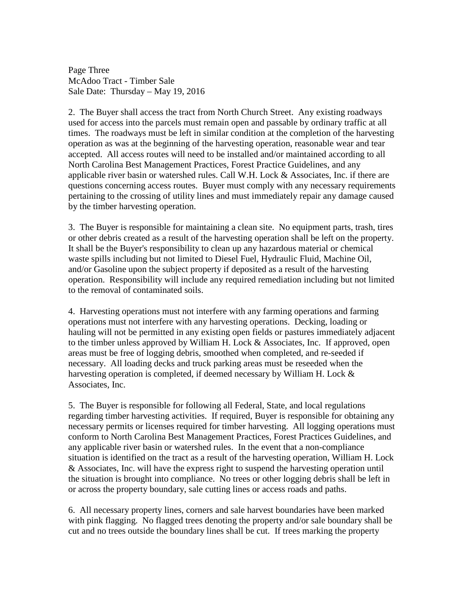Page Three McAdoo Tract - Timber Sale Sale Date: Thursday – May 19, 2016

2. The Buyer shall access the tract from North Church Street. Any existing roadways used for access into the parcels must remain open and passable by ordinary traffic at all times. The roadways must be left in similar condition at the completion of the harvesting operation as was at the beginning of the harvesting operation, reasonable wear and tear accepted. All access routes will need to be installed and/or maintained according to all North Carolina Best Management Practices, Forest Practice Guidelines, and any applicable river basin or watershed rules. Call W.H. Lock & Associates, Inc. if there are questions concerning access routes. Buyer must comply with any necessary requirements pertaining to the crossing of utility lines and must immediately repair any damage caused by the timber harvesting operation.

3. The Buyer is responsible for maintaining a clean site. No equipment parts, trash, tires or other debris created as a result of the harvesting operation shall be left on the property. It shall be the Buyer's responsibility to clean up any hazardous material or chemical waste spills including but not limited to Diesel Fuel, Hydraulic Fluid, Machine Oil, and/or Gasoline upon the subject property if deposited as a result of the harvesting operation. Responsibility will include any required remediation including but not limited to the removal of contaminated soils.

4. Harvesting operations must not interfere with any farming operations and farming operations must not interfere with any harvesting operations. Decking, loading or hauling will not be permitted in any existing open fields or pastures immediately adjacent to the timber unless approved by William H. Lock & Associates, Inc. If approved, open areas must be free of logging debris, smoothed when completed, and re-seeded if necessary. All loading decks and truck parking areas must be reseeded when the harvesting operation is completed, if deemed necessary by William H. Lock & Associates, Inc.

5. The Buyer is responsible for following all Federal, State, and local regulations regarding timber harvesting activities. If required, Buyer is responsible for obtaining any necessary permits or licenses required for timber harvesting. All logging operations must conform to North Carolina Best Management Practices, Forest Practices Guidelines, and any applicable river basin or watershed rules. In the event that a non-compliance situation is identified on the tract as a result of the harvesting operation, William H. Lock & Associates, Inc. will have the express right to suspend the harvesting operation until the situation is brought into compliance. No trees or other logging debris shall be left in or across the property boundary, sale cutting lines or access roads and paths.

6. All necessary property lines, corners and sale harvest boundaries have been marked with pink flagging. No flagged trees denoting the property and/or sale boundary shall be cut and no trees outside the boundary lines shall be cut. If trees marking the property